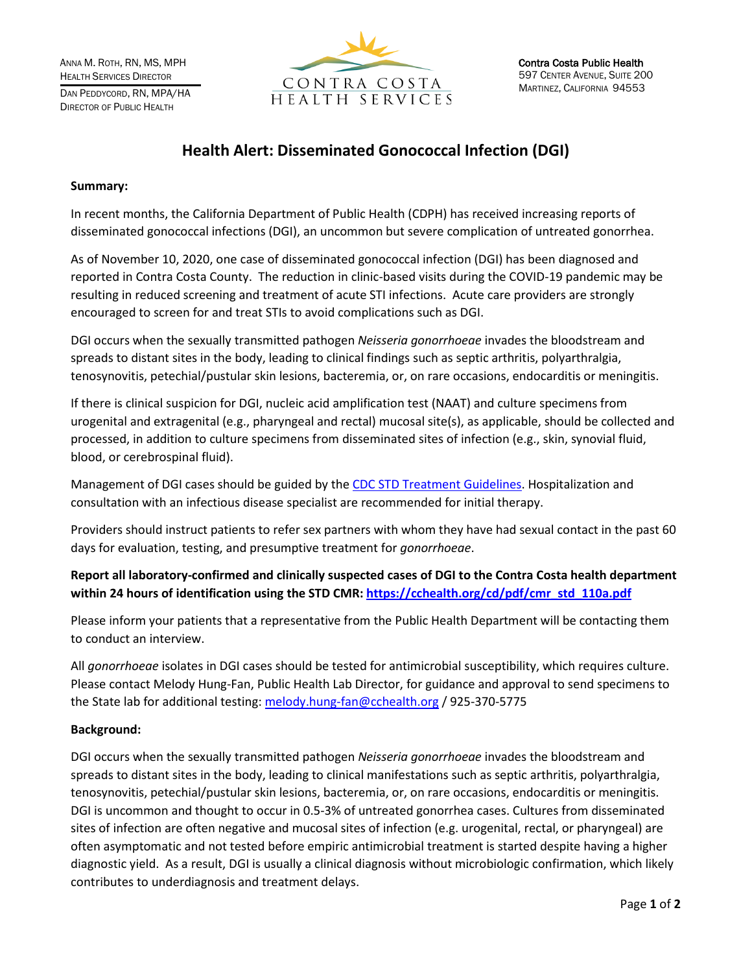

# **Health Alert: Disseminated Gonococcal Infection (DGI)**

#### **Summary:**

In recent months, the California Department of Public Health (CDPH) has received increasing reports of disseminated gonococcal infections (DGI), an uncommon but severe complication of untreated gonorrhea.

As of November 10, 2020, one case of disseminated gonococcal infection (DGI) has been diagnosed and reported in Contra Costa County. The reduction in clinic-based visits during the COVID-19 pandemic may be resulting in reduced screening and treatment of acute STI infections. Acute care providers are strongly encouraged to screen for and treat STIs to avoid complications such as DGI.

DGI occurs when the sexually transmitted pathogen *Neisseria gonorrhoeae* invades the bloodstream and spreads to distant sites in the body, leading to clinical findings such as septic arthritis, polyarthralgia, tenosynovitis, petechial/pustular skin lesions, bacteremia, or, on rare occasions, endocarditis or meningitis.

If there is clinical suspicion for DGI, nucleic acid amplification test (NAAT) and culture specimens from urogenital and extragenital (e.g., pharyngeal and rectal) mucosal site(s), as applicable, should be collected and processed, in addition to culture specimens from disseminated sites of infection (e.g., skin, synovial fluid, blood, or cerebrospinal fluid).

Management of DGI cases should be guided by the [CDC STD Treatment Guidelines.](https://www.cdc.gov/std/tg2015/gonorrhea.htm) Hospitalization and consultation with an infectious disease specialist are recommended for initial therapy.

Providers should instruct patients to refer sex partners with whom they have had sexual contact in the past 60 days for evaluation, testing, and presumptive treatment for *gonorrhoeae*.

**Report all laboratory-confirmed and clinically suspected cases of DGI to the Contra Costa health department within 24 hours of identification using the STD CMR[: https://cchealth.org/cd/pdf/cmr\\_std\\_110a.pdf](https://cchealth.org/cd/pdf/cmr_std_110a.pdf)**

Please inform your patients that a representative from the Public Health Department will be contacting them to conduct an interview.

All *gonorrhoeae* isolates in DGI cases should be tested for antimicrobial susceptibility, which requires culture. Please contact Melody Hung-Fan, Public Health Lab Director, for guidance and approval to send specimens to the State lab for additional testing[: melody.hung-fan@cchealth.org](mailto:melody.hung-fan@cchealth.org) / 925-370-5775

## **Background:**

DGI occurs when the sexually transmitted pathogen *Neisseria gonorrhoeae* invades the bloodstream and spreads to distant sites in the body, leading to clinical manifestations such as septic arthritis, polyarthralgia, tenosynovitis, petechial/pustular skin lesions, bacteremia, or, on rare occasions, endocarditis or meningitis. DGI is uncommon and thought to occur in 0.5-3% of untreated gonorrhea cases. Cultures from disseminated sites of infection are often negative and mucosal sites of infection (e.g. urogenital, rectal, or pharyngeal) are often asymptomatic and not tested before empiric antimicrobial treatment is started despite having a higher diagnostic yield. As a result, DGI is usually a clinical diagnosis without microbiologic confirmation, which likely contributes to underdiagnosis and treatment delays.